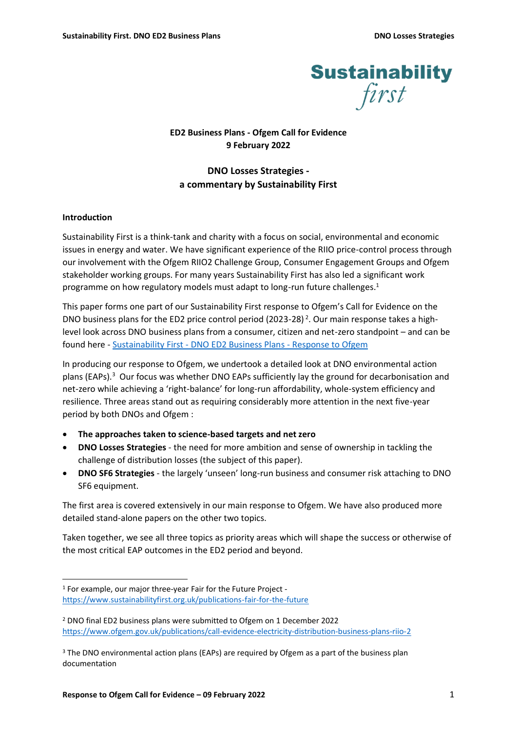

# **ED2 Business Plans - Ofgem Call for Evidence 9 February 2022**

# **DNO Losses Strategies a commentary by Sustainability First**

# **Introduction**

Sustainability First is a think-tank and charity with a focus on social, environmental and economic issues in energy and water. We have significant experience of the RIIO price-control process through our involvement with the Ofgem RIIO2 Challenge Group, Consumer Engagement Groups and Ofgem stakeholder working groups. For many years Sustainability First has also led a significant work programme on how regulatory models must adapt to long-run future challenges.<sup>1</sup>

This paper forms one part of our Sustainability First response to Ofgem's Call for Evidence on the DNO business plans for the ED2 price control period (2023-28)<sup>2</sup>. Our main response takes a highlevel look across DNO business plans from a consumer, citizen and net-zero standpoint – and can be found here - Sustainability First - [DNO ED2 Business Plans -](https://www.sustainabilityfirst.org.uk/images/ED2_Business_Plans_Ofgem_call_for_evidence_final.pdf) Response to Ofgem

In producing our response to Ofgem, we undertook a detailed look at DNO environmental action plans (EAPs).<sup>3</sup> Our focus was whether DNO EAPs sufficiently lay the ground for decarbonisation and net-zero while achieving a 'right-balance' for long-run affordability, whole-system efficiency and resilience. Three areas stand out as requiring considerably more attention in the next five-year period by both DNOs and Ofgem :

- **The approaches taken to science-based targets and net zero**
- **DNO Losses Strategies** the need for more ambition and sense of ownership in tackling the challenge of distribution losses (the subject of this paper).
- **DNO SF6 Strategies** the largely 'unseen' long-run business and consumer risk attaching to DNO SF6 equipment.

The first area is covered extensively in our main response to Ofgem. We have also produced more detailed stand-alone papers on the other two topics.

Taken together, we see all three topics as priority areas which will shape the success or otherwise of the most critical EAP outcomes in the ED2 period and beyond.

<sup>1</sup> For example, our major three-year Fair for the Future Project <https://www.sustainabilityfirst.org.uk/publications-fair-for-the-future>

<sup>2</sup> DNO final ED2 business plans were submitted to Ofgem on 1 December 2022 <https://www.ofgem.gov.uk/publications/call-evidence-electricity-distribution-business-plans-riio-2>

<sup>&</sup>lt;sup>3</sup> The DNO environmental action plans (EAPs) are required by Ofgem as a part of the business plan documentation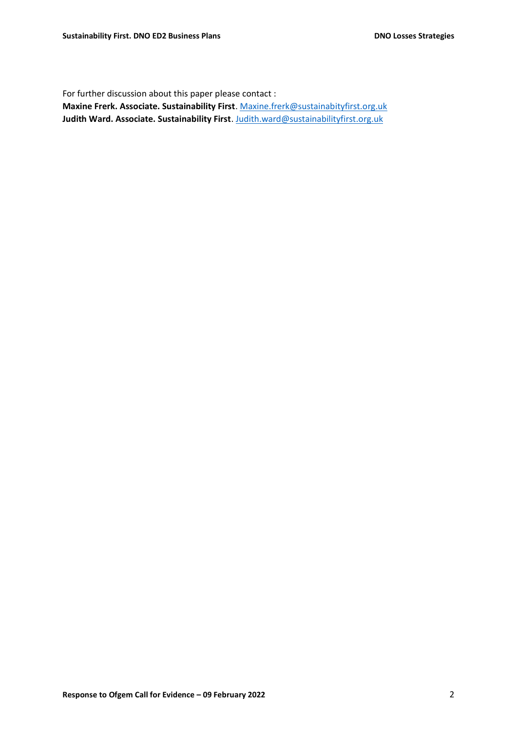For further discussion about this paper please contact :

**Maxine Frerk. Associate. Sustainability First**. [Maxine.frerk@sustainabityfirst.org.uk](mailto:Maxine.frerk@sustainabityfirst.org.uk) **Judith Ward. Associate. Sustainability First**[. Judith.ward@sustainabilityfirst.org.uk](mailto:Judith.ward@sustainabilityfirst.org.uk)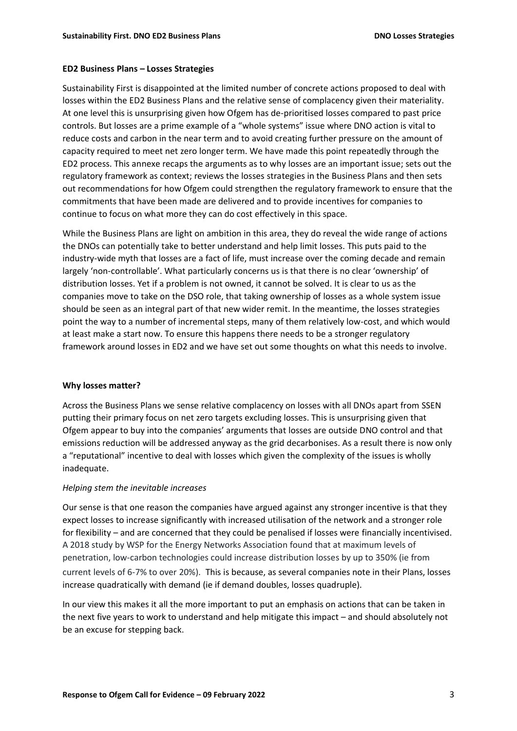#### **ED2 Business Plans – Losses Strategies**

Sustainability First is disappointed at the limited number of concrete actions proposed to deal with losses within the ED2 Business Plans and the relative sense of complacency given their materiality. At one level this is unsurprising given how Ofgem has de-prioritised losses compared to past price controls. But losses are a prime example of a "whole systems" issue where DNO action is vital to reduce costs and carbon in the near term and to avoid creating further pressure on the amount of capacity required to meet net zero longer term. We have made this point repeatedly through the ED2 process. This annexe recaps the arguments as to why losses are an important issue; sets out the regulatory framework as context; reviews the losses strategies in the Business Plans and then sets out recommendations for how Ofgem could strengthen the regulatory framework to ensure that the commitments that have been made are delivered and to provide incentives for companies to continue to focus on what more they can do cost effectively in this space.

While the Business Plans are light on ambition in this area, they do reveal the wide range of actions the DNOs can potentially take to better understand and help limit losses. This puts paid to the industry-wide myth that losses are a fact of life, must increase over the coming decade and remain largely 'non-controllable'. What particularly concerns us is that there is no clear 'ownership' of distribution losses. Yet if a problem is not owned, it cannot be solved. It is clear to us as the companies move to take on the DSO role, that taking ownership of losses as a whole system issue should be seen as an integral part of that new wider remit. In the meantime, the losses strategies point the way to a number of incremental steps, many of them relatively low-cost, and which would at least make a start now. To ensure this happens there needs to be a stronger regulatory framework around losses in ED2 and we have set out some thoughts on what this needs to involve.

#### **Why losses matter?**

Across the Business Plans we sense relative complacency on losses with all DNOs apart from SSEN putting their primary focus on net zero targets excluding losses. This is unsurprising given that Ofgem appear to buy into the companies' arguments that losses are outside DNO control and that emissions reduction will be addressed anyway as the grid decarbonises. As a result there is now only a "reputational" incentive to deal with losses which given the complexity of the issues is wholly inadequate.

#### *Helping stem the inevitable increases*

Our sense is that one reason the companies have argued against any stronger incentive is that they expect losses to increase significantly with increased utilisation of the network and a stronger role for flexibility – and are concerned that they could be penalised if losses were financially incentivised. A 2018 study by WSP for the Energy Networks Association found that at maximum levels of penetration, low-carbon technologies could increase distribution losses by up to 350% (ie from current levels of 6-7% to over 20%). This is because, as several companies note in their Plans, losses increase quadratically with demand (ie if demand doubles, losses quadruple).

In our view this makes it all the more important to put an emphasis on actions that can be taken in the next five years to work to understand and help mitigate this impact – and should absolutely not be an excuse for stepping back.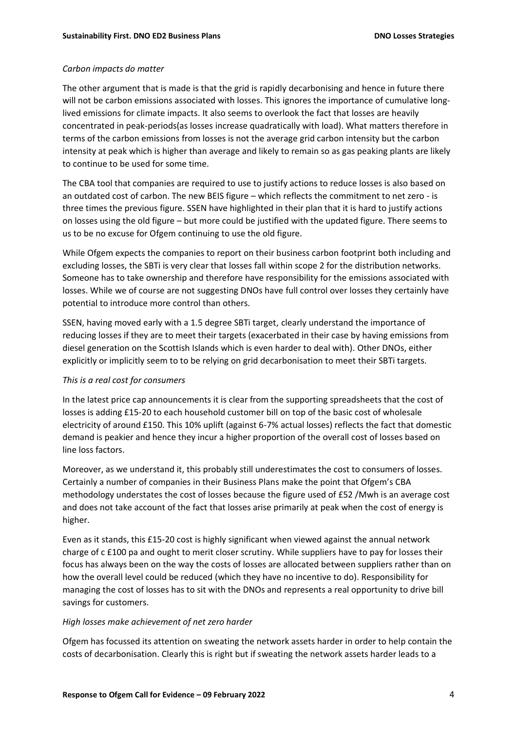#### *Carbon impacts do matter*

The other argument that is made is that the grid is rapidly decarbonising and hence in future there will not be carbon emissions associated with losses. This ignores the importance of cumulative longlived emissions for climate impacts. It also seems to overlook the fact that losses are heavily concentrated in peak-periods(as losses increase quadratically with load). What matters therefore in terms of the carbon emissions from losses is not the average grid carbon intensity but the carbon intensity at peak which is higher than average and likely to remain so as gas peaking plants are likely to continue to be used for some time.

The CBA tool that companies are required to use to justify actions to reduce losses is also based on an outdated cost of carbon. The new BEIS figure – which reflects the commitment to net zero - is three times the previous figure. SSEN have highlighted in their plan that it is hard to justify actions on losses using the old figure – but more could be justified with the updated figure. There seems to us to be no excuse for Ofgem continuing to use the old figure.

While Ofgem expects the companies to report on their business carbon footprint both including and excluding losses, the SBTi is very clear that losses fall within scope 2 for the distribution networks. Someone has to take ownership and therefore have responsibility for the emissions associated with losses. While we of course are not suggesting DNOs have full control over losses they certainly have potential to introduce more control than others.

SSEN, having moved early with a 1.5 degree SBTi target, clearly understand the importance of reducing losses if they are to meet their targets (exacerbated in their case by having emissions from diesel generation on the Scottish Islands which is even harder to deal with). Other DNOs, either explicitly or implicitly seem to to be relying on grid decarbonisation to meet their SBTi targets.

#### *This is a real cost for consumers*

In the latest price cap announcements it is clear from the supporting spreadsheets that the cost of losses is adding £15-20 to each household customer bill on top of the basic cost of wholesale electricity of around £150. This 10% uplift (against 6-7% actual losses) reflects the fact that domestic demand is peakier and hence they incur a higher proportion of the overall cost of losses based on line loss factors.

Moreover, as we understand it, this probably still underestimates the cost to consumers of losses. Certainly a number of companies in their Business Plans make the point that Ofgem's CBA methodology understates the cost of losses because the figure used of £52 /Mwh is an average cost and does not take account of the fact that losses arise primarily at peak when the cost of energy is higher.

Even as it stands, this £15-20 cost is highly significant when viewed against the annual network charge of c £100 pa and ought to merit closer scrutiny. While suppliers have to pay for losses their focus has always been on the way the costs of losses are allocated between suppliers rather than on how the overall level could be reduced (which they have no incentive to do). Responsibility for managing the cost of losses has to sit with the DNOs and represents a real opportunity to drive bill savings for customers.

#### *High losses make achievement of net zero harder*

Ofgem has focussed its attention on sweating the network assets harder in order to help contain the costs of decarbonisation. Clearly this is right but if sweating the network assets harder leads to a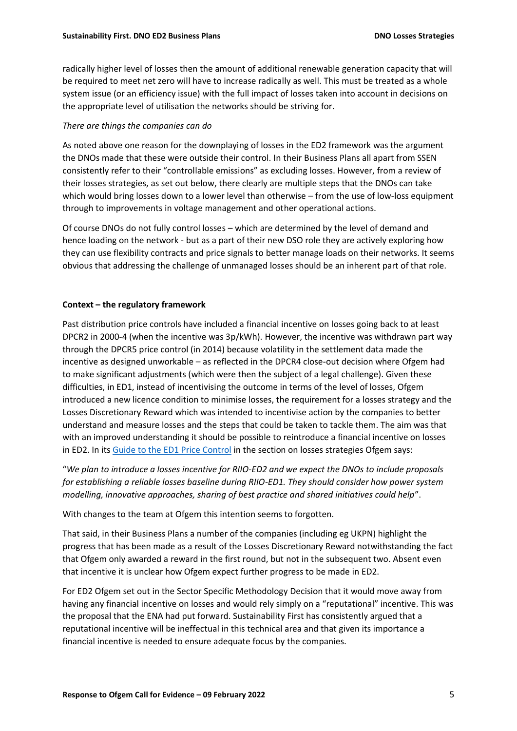radically higher level of losses then the amount of additional renewable generation capacity that will be required to meet net zero will have to increase radically as well. This must be treated as a whole system issue (or an efficiency issue) with the full impact of losses taken into account in decisions on the appropriate level of utilisation the networks should be striving for.

# *There are things the companies can do*

As noted above one reason for the downplaying of losses in the ED2 framework was the argument the DNOs made that these were outside their control. In their Business Plans all apart from SSEN consistently refer to their "controllable emissions" as excluding losses. However, from a review of their losses strategies, as set out below, there clearly are multiple steps that the DNOs can take which would bring losses down to a lower level than otherwise – from the use of low-loss equipment through to improvements in voltage management and other operational actions.

Of course DNOs do not fully control losses – which are determined by the level of demand and hence loading on the network - but as a part of their new DSO role they are actively exploring how they can use flexibility contracts and price signals to better manage loads on their networks. It seems obvious that addressing the challenge of unmanaged losses should be an inherent part of that role.

# **Context – the regulatory framework**

Past distribution price controls have included a financial incentive on losses going back to at least DPCR2 in 2000-4 (when the incentive was 3p/kWh). However, the incentive was withdrawn part way through the DPCR5 price control (in 2014) because volatility in the settlement data made the incentive as designed unworkable – as reflected in the DPCR4 close-out decision where Ofgem had to make significant adjustments (which were then the subject of a legal challenge). Given these difficulties, in ED1, instead of incentivising the outcome in terms of the level of losses, Ofgem introduced a new licence condition to minimise losses, the requirement for a losses strategy and the Losses Discretionary Reward which was intended to incentivise action by the companies to better understand and measure losses and the steps that could be taken to tackle them. The aim was that with an improved understanding it should be possible to reintroduce a financial incentive on losses in ED2. In its [Guide to the ED1 Price Control](https://www.ofgem.gov.uk/sites/default/files/docs/2017/01/guide_to_riioed1.pdf) in the section on losses strategies Ofgem says:

"*We plan to introduce a losses incentive for RIIO-ED2 and we expect the DNOs to include proposals for establishing a reliable losses baseline during RIIO-ED1. They should consider how power system modelling, innovative approaches, sharing of best practice and shared initiatives could help*".

With changes to the team at Ofgem this intention seems to forgotten.

That said, in their Business Plans a number of the companies (including eg UKPN) highlight the progress that has been made as a result of the Losses Discretionary Reward notwithstanding the fact that Ofgem only awarded a reward in the first round, but not in the subsequent two. Absent even that incentive it is unclear how Ofgem expect further progress to be made in ED2.

For ED2 Ofgem set out in the Sector Specific Methodology Decision that it would move away from having any financial incentive on losses and would rely simply on a "reputational" incentive. This was the proposal that the ENA had put forward. Sustainability First has consistently argued that a reputational incentive will be ineffectual in this technical area and that given its importance a financial incentive is needed to ensure adequate focus by the companies.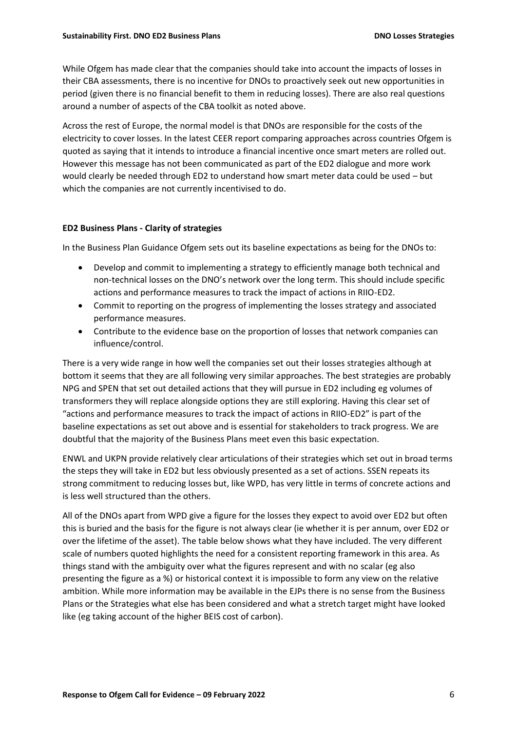While Ofgem has made clear that the companies should take into account the impacts of losses in their CBA assessments, there is no incentive for DNOs to proactively seek out new opportunities in period (given there is no financial benefit to them in reducing losses). There are also real questions around a number of aspects of the CBA toolkit as noted above.

Across the rest of Europe, the normal model is that DNOs are responsible for the costs of the electricity to cover losses. In the latest CEER report comparing approaches across countries Ofgem is quoted as saying that it intends to introduce a financial incentive once smart meters are rolled out. However this message has not been communicated as part of the ED2 dialogue and more work would clearly be needed through ED2 to understand how smart meter data could be used – but which the companies are not currently incentivised to do.

#### **ED2 Business Plans - Clarity of strategies**

In the Business Plan Guidance Ofgem sets out its baseline expectations as being for the DNOs to:

- Develop and commit to implementing a strategy to efficiently manage both technical and non-technical losses on the DNO's network over the long term. This should include specific actions and performance measures to track the impact of actions in RIIO-ED2.
- Commit to reporting on the progress of implementing the losses strategy and associated performance measures.
- Contribute to the evidence base on the proportion of losses that network companies can influence/control.

There is a very wide range in how well the companies set out their losses strategies although at bottom it seems that they are all following very similar approaches. The best strategies are probably NPG and SPEN that set out detailed actions that they will pursue in ED2 including eg volumes of transformers they will replace alongside options they are still exploring. Having this clear set of "actions and performance measures to track the impact of actions in RIIO-ED2" is part of the baseline expectations as set out above and is essential for stakeholders to track progress. We are doubtful that the majority of the Business Plans meet even this basic expectation.

ENWL and UKPN provide relatively clear articulations of their strategies which set out in broad terms the steps they will take in ED2 but less obviously presented as a set of actions. SSEN repeats its strong commitment to reducing losses but, like WPD, has very little in terms of concrete actions and is less well structured than the others.

All of the DNOs apart from WPD give a figure for the losses they expect to avoid over ED2 but often this is buried and the basis for the figure is not always clear (ie whether it is per annum, over ED2 or over the lifetime of the asset). The table below shows what they have included. The very different scale of numbers quoted highlights the need for a consistent reporting framework in this area. As things stand with the ambiguity over what the figures represent and with no scalar (eg also presenting the figure as a %) or historical context it is impossible to form any view on the relative ambition. While more information may be available in the EJPs there is no sense from the Business Plans or the Strategies what else has been considered and what a stretch target might have looked like (eg taking account of the higher BEIS cost of carbon).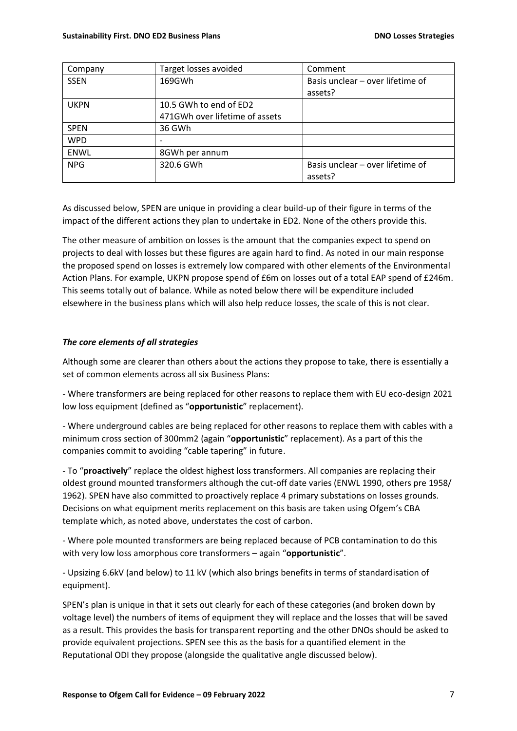| Company     | Target losses avoided          | Comment                          |
|-------------|--------------------------------|----------------------------------|
| <b>SSEN</b> | 169GWh                         | Basis unclear – over lifetime of |
|             |                                | assets?                          |
| <b>UKPN</b> | 10.5 GWh to end of ED2         |                                  |
|             | 471GWh over lifetime of assets |                                  |
| <b>SPEN</b> | 36 GWh                         |                                  |
| <b>WPD</b>  |                                |                                  |
| <b>ENWL</b> | 8GWh per annum                 |                                  |
| <b>NPG</b>  | 320.6 GWh                      | Basis unclear - over lifetime of |
|             |                                | assets?                          |

As discussed below, SPEN are unique in providing a clear build-up of their figure in terms of the impact of the different actions they plan to undertake in ED2. None of the others provide this.

The other measure of ambition on losses is the amount that the companies expect to spend on projects to deal with losses but these figures are again hard to find. As noted in our main response the proposed spend on losses is extremely low compared with other elements of the Environmental Action Plans. For example, UKPN propose spend of £6m on losses out of a total EAP spend of £246m. This seems totally out of balance. While as noted below there will be expenditure included elsewhere in the business plans which will also help reduce losses, the scale of this is not clear.

# *The core elements of all strategies*

Although some are clearer than others about the actions they propose to take, there is essentially a set of common elements across all six Business Plans:

- Where transformers are being replaced for other reasons to replace them with EU eco-design 2021 low loss equipment (defined as "**opportunistic**" replacement).

- Where underground cables are being replaced for other reasons to replace them with cables with a minimum cross section of 300mm2 (again "**opportunistic**" replacement). As a part of this the companies commit to avoiding "cable tapering" in future.

- To "**proactively**" replace the oldest highest loss transformers. All companies are replacing their oldest ground mounted transformers although the cut-off date varies (ENWL 1990, others pre 1958/ 1962). SPEN have also committed to proactively replace 4 primary substations on losses grounds. Decisions on what equipment merits replacement on this basis are taken using Ofgem's CBA template which, as noted above, understates the cost of carbon.

- Where pole mounted transformers are being replaced because of PCB contamination to do this with very low loss amorphous core transformers – again "**opportunistic**".

- Upsizing 6.6kV (and below) to 11 kV (which also brings benefits in terms of standardisation of equipment).

SPEN's plan is unique in that it sets out clearly for each of these categories (and broken down by voltage level) the numbers of items of equipment they will replace and the losses that will be saved as a result. This provides the basis for transparent reporting and the other DNOs should be asked to provide equivalent projections. SPEN see this as the basis for a quantified element in the Reputational ODI they propose (alongside the qualitative angle discussed below).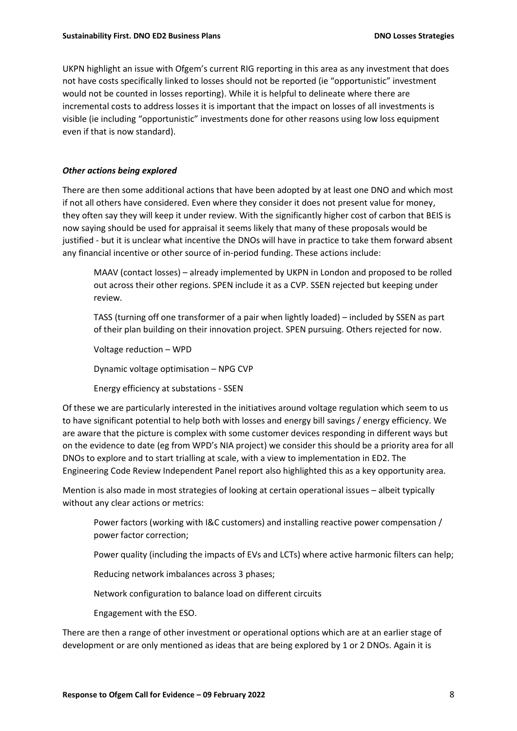UKPN highlight an issue with Ofgem's current RIG reporting in this area as any investment that does not have costs specifically linked to losses should not be reported (ie "opportunistic" investment would not be counted in losses reporting). While it is helpful to delineate where there are incremental costs to address losses it is important that the impact on losses of all investments is visible (ie including "opportunistic" investments done for other reasons using low loss equipment even if that is now standard).

# *Other actions being explored*

There are then some additional actions that have been adopted by at least one DNO and which most if not all others have considered. Even where they consider it does not present value for money, they often say they will keep it under review. With the significantly higher cost of carbon that BEIS is now saying should be used for appraisal it seems likely that many of these proposals would be justified - but it is unclear what incentive the DNOs will have in practice to take them forward absent any financial incentive or other source of in-period funding. These actions include:

MAAV (contact losses) – already implemented by UKPN in London and proposed to be rolled out across their other regions. SPEN include it as a CVP. SSEN rejected but keeping under review.

TASS (turning off one transformer of a pair when lightly loaded) – included by SSEN as part of their plan building on their innovation project. SPEN pursuing. Others rejected for now.

Voltage reduction – WPD

Dynamic voltage optimisation – NPG CVP

Energy efficiency at substations - SSEN

Of these we are particularly interested in the initiatives around voltage regulation which seem to us to have significant potential to help both with losses and energy bill savings / energy efficiency. We are aware that the picture is complex with some customer devices responding in different ways but on the evidence to date (eg from WPD's NIA project) we consider this should be a priority area for all DNOs to explore and to start trialling at scale, with a view to implementation in ED2. The Engineering Code Review Independent Panel report also highlighted this as a key opportunity area.

Mention is also made in most strategies of looking at certain operational issues – albeit typically without any clear actions or metrics:

Power factors (working with I&C customers) and installing reactive power compensation / power factor correction;

Power quality (including the impacts of EVs and LCTs) where active harmonic filters can help;

Reducing network imbalances across 3 phases;

Network configuration to balance load on different circuits

Engagement with the ESO.

There are then a range of other investment or operational options which are at an earlier stage of development or are only mentioned as ideas that are being explored by 1 or 2 DNOs. Again it is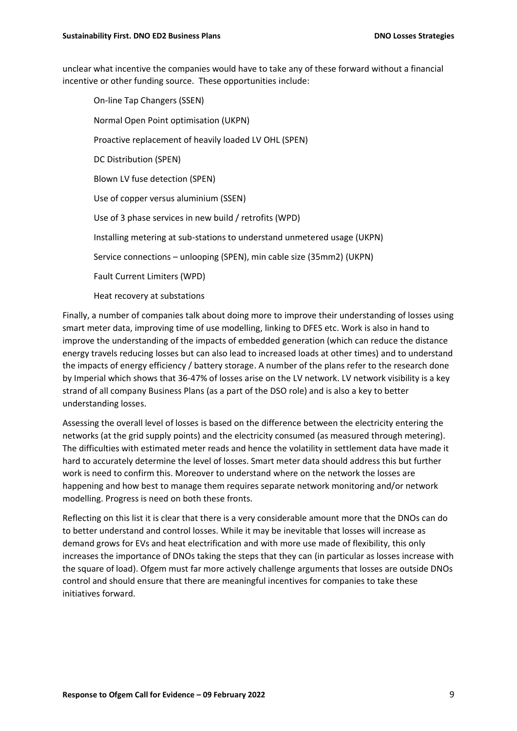unclear what incentive the companies would have to take any of these forward without a financial incentive or other funding source. These opportunities include:

On-line Tap Changers (SSEN) Normal Open Point optimisation (UKPN) Proactive replacement of heavily loaded LV OHL (SPEN) DC Distribution (SPEN) Blown LV fuse detection (SPEN) Use of copper versus aluminium (SSEN) Use of 3 phase services in new build / retrofits (WPD) Installing metering at sub-stations to understand unmetered usage (UKPN) Service connections – unlooping (SPEN), min cable size (35mm2) (UKPN) Fault Current Limiters (WPD) Heat recovery at substations

Finally, a number of companies talk about doing more to improve their understanding of losses using smart meter data, improving time of use modelling, linking to DFES etc. Work is also in hand to improve the understanding of the impacts of embedded generation (which can reduce the distance energy travels reducing losses but can also lead to increased loads at other times) and to understand the impacts of energy efficiency / battery storage. A number of the plans refer to the research done by Imperial which shows that 36-47% of losses arise on the LV network. LV network visibility is a key strand of all company Business Plans (as a part of the DSO role) and is also a key to better understanding losses.

Assessing the overall level of losses is based on the difference between the electricity entering the networks (at the grid supply points) and the electricity consumed (as measured through metering). The difficulties with estimated meter reads and hence the volatility in settlement data have made it hard to accurately determine the level of losses. Smart meter data should address this but further work is need to confirm this. Moreover to understand where on the network the losses are happening and how best to manage them requires separate network monitoring and/or network modelling. Progress is need on both these fronts.

Reflecting on this list it is clear that there is a very considerable amount more that the DNOs can do to better understand and control losses. While it may be inevitable that losses will increase as demand grows for EVs and heat electrification and with more use made of flexibility, this only increases the importance of DNOs taking the steps that they can (in particular as losses increase with the square of load). Ofgem must far more actively challenge arguments that losses are outside DNOs control and should ensure that there are meaningful incentives for companies to take these initiatives forward.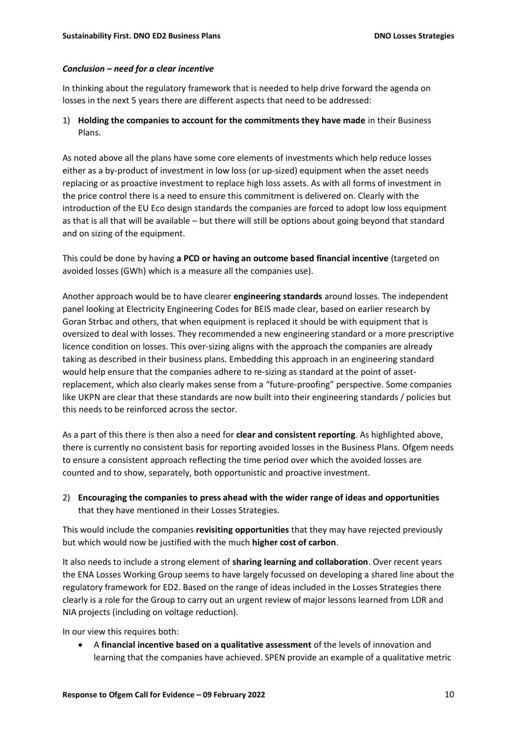#### *Conclusion – need for a clear incentive*

In thinking about the regulatory framework that is needed to help drive forward the agenda on losses in the next 5 years there are different aspects that need to be addressed:

1) **Holding the companies to account for the commitments they have made** in their Business Plans.

As noted above all the plans have some core elements of investments which help reduce losses either as a by-product of investment in low loss (or up-sized) equipment when the asset needs replacing or as proactive investment to replace high loss assets. As with all forms of investment in the price control there is a need to ensure this commitment is delivered on. Clearly with the introduction of the EU Eco design standards the companies are forced to adopt low loss equipment as that is all that will be available – but there will still be options about going beyond that standard and on sizing of the equipment.

This could be done by having **a PCD or having an outcome based financial incentive** (targeted on avoided losses (GWh) which is a measure all the companies use).

Another approach would be to have clearer **engineering standards** around losses. The independent panel looking at Electricity Engineering Codes for BEIS made clear, based on earlier research by Goran Strbac and others, that when equipment is replaced it should be with equipment that is oversized to deal with losses. They recommended a new engineering standard or a more prescriptive licence condition on losses. This over-sizing aligns with the approach the companies are already taking as described in their business plans. Embedding this approach in an engineering standard would help ensure that the companies adhere to re-sizing as standard at the point of assetreplacement, which also clearly makes sense from a "future-proofing" perspective. Some companies like UKPN are clear that these standards are now built into their engineering standards / policies but this needs to be reinforced across the sector.

As a part of this there is then also a need for **clear and consistent reporting**. As highlighted above, there is currently no consistent basis for reporting avoided losses in the Business Plans. Ofgem needs to ensure a consistent approach reflecting the time period over which the avoided losses are counted and to show, separately, both opportunistic and proactive investment.

2) **Encouraging the companies to press ahead with the wider range of ideas and opportunities** that they have mentioned in their Losses Strategies.

This would include the companies **revisiting opportunities** that they may have rejected previously but which would now be justified with the much **higher cost of carbon**.

It also needs to include a strong element of **sharing learning and collaboration**. Over recent years the ENA Losses Working Group seems to have largely focussed on developing a shared line about the regulatory framework for ED2. Based on the range of ideas included in the Losses Strategies there clearly is a role for the Group to carry out an urgent review of major lessons learned from LDR and NIA projects (including on voltage reduction).

In our view this requires both:

• A **financial incentive based on a qualitative assessment** of the levels of innovation and learning that the companies have achieved. SPEN provide an example of a qualitative metric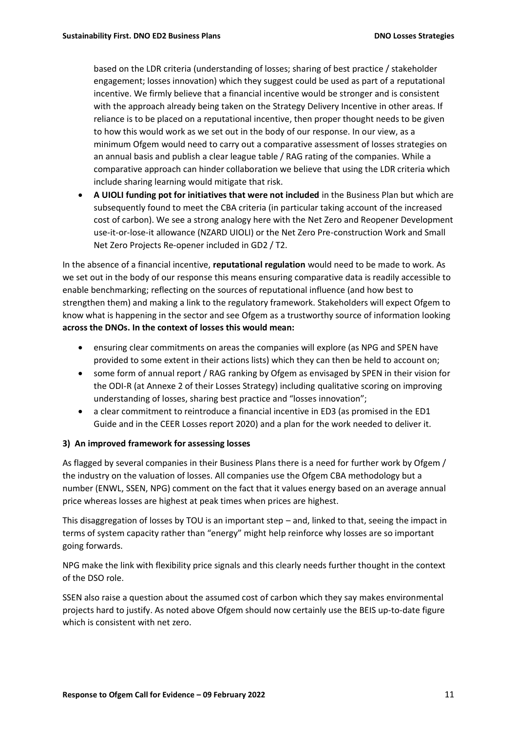based on the LDR criteria (understanding of losses; sharing of best practice / stakeholder engagement; losses innovation) which they suggest could be used as part of a reputational incentive. We firmly believe that a financial incentive would be stronger and is consistent with the approach already being taken on the Strategy Delivery Incentive in other areas. If reliance is to be placed on a reputational incentive, then proper thought needs to be given to how this would work as we set out in the body of our response. In our view, as a minimum Ofgem would need to carry out a comparative assessment of losses strategies on an annual basis and publish a clear league table / RAG rating of the companies. While a comparative approach can hinder collaboration we believe that using the LDR criteria which include sharing learning would mitigate that risk.

• **A UIOLI funding pot for initiatives that were not included** in the Business Plan but which are subsequently found to meet the CBA criteria (in particular taking account of the increased cost of carbon). We see a strong analogy here with the Net Zero and Reopener Development use-it-or-lose-it allowance (NZARD UIOLI) or the Net Zero Pre-construction Work and Small Net Zero Projects Re-opener included in GD2 / T2.

In the absence of a financial incentive, **reputational regulation** would need to be made to work. As we set out in the body of our response this means ensuring comparative data is readily accessible to enable benchmarking; reflecting on the sources of reputational influence (and how best to strengthen them) and making a link to the regulatory framework. Stakeholders will expect Ofgem to know what is happening in the sector and see Ofgem as a trustworthy source of information looking **across the DNOs. In the context of losses this would mean:**

- ensuring clear commitments on areas the companies will explore (as NPG and SPEN have provided to some extent in their actions lists) which they can then be held to account on;
- some form of annual report / RAG ranking by Ofgem as envisaged by SPEN in their vision for the ODI-R (at Annexe 2 of their Losses Strategy) including qualitative scoring on improving understanding of losses, sharing best practice and "losses innovation";
- a clear commitment to reintroduce a financial incentive in ED3 (as promised in the ED1 Guide and in the CEER Losses report 2020) and a plan for the work needed to deliver it.

# **3) An improved framework for assessing losses**

As flagged by several companies in their Business Plans there is a need for further work by Ofgem / the industry on the valuation of losses. All companies use the Ofgem CBA methodology but a number (ENWL, SSEN, NPG) comment on the fact that it values energy based on an average annual price whereas losses are highest at peak times when prices are highest.

This disaggregation of losses by TOU is an important step – and, linked to that, seeing the impact in terms of system capacity rather than "energy" might help reinforce why losses are so important going forwards.

NPG make the link with flexibility price signals and this clearly needs further thought in the context of the DSO role.

SSEN also raise a question about the assumed cost of carbon which they say makes environmental projects hard to justify. As noted above Ofgem should now certainly use the BEIS up-to-date figure which is consistent with net zero.